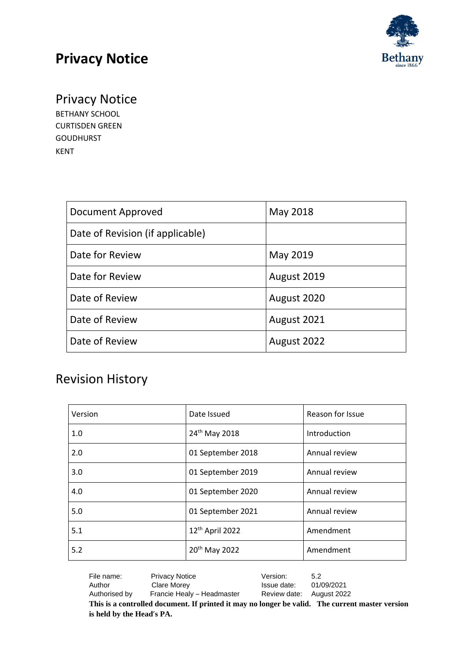

### Privacy Notice

BETHANY SCHOOL CURTISDEN GREEN GOUDHURST KENT

| Document Approved                | May 2018    |
|----------------------------------|-------------|
| Date of Revision (if applicable) |             |
| Date for Review                  | May 2019    |
| Date for Review                  | August 2019 |
| Date of Review                   | August 2020 |
| Date of Review                   | August 2021 |
| Date of Review                   | August 2022 |

### Revision History

| Version | Date Issued                 | Reason for Issue |
|---------|-----------------------------|------------------|
| 1.0     | 24 <sup>th</sup> May 2018   | Introduction     |
| 2.0     | 01 September 2018           | Annual review    |
| 3.0     | 01 September 2019           | Annual review    |
| 4.0     | 01 September 2020           | Annual review    |
| 5.0     | 01 September 2021           | Annual review    |
| 5.1     | 12 <sup>th</sup> April 2022 | Amendment        |
| 5.2     | 20 <sup>th</sup> May 2022   | Amendment        |

| File name:                                                                                      | <b>Privacy Notice</b>      | Version:                 | 5.2        |
|-------------------------------------------------------------------------------------------------|----------------------------|--------------------------|------------|
| Author                                                                                          | Clare Morey                | Issue date:              | 01/09/2021 |
| Authorised by                                                                                   | Francie Healy - Headmaster | Review date: August 2022 |            |
| This is a controlled document. If printed it may no longer be valid. The current master version |                            |                          |            |
| is held by the Head's PA.                                                                       |                            |                          |            |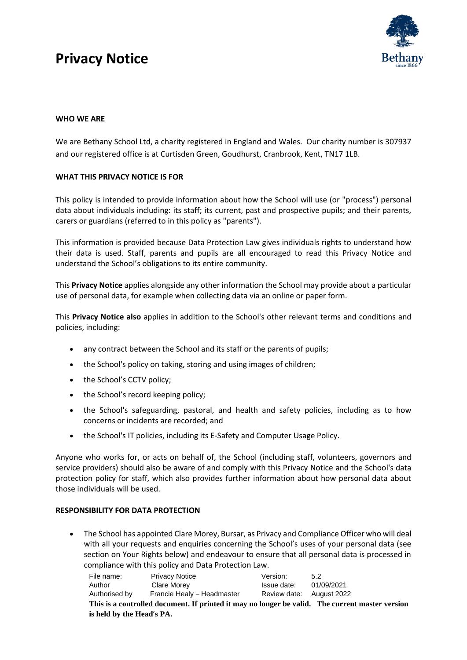

#### **WHO WE ARE**

We are Bethany School Ltd, a charity registered in England and Wales. Our charity number is 307937 and our registered office is at Curtisden Green, Goudhurst, Cranbrook, Kent, TN17 1LB.

#### **WHAT THIS PRIVACY NOTICE IS FOR**

This policy is intended to provide information about how the School will use (or "process") personal data about individuals including: its staff; its current, past and prospective pupils; and their parents, carers or guardians (referred to in this policy as "parents").

This information is provided because Data Protection Law gives individuals rights to understand how their data is used. Staff, parents and pupils are all encouraged to read this Privacy Notice and understand the School's obligations to its entire community.

This **Privacy Notice** applies alongside any other information the School may provide about a particular use of personal data, for example when collecting data via an online or paper form.

This **Privacy Notice also** applies in addition to the School's other relevant terms and conditions and policies, including:

- any contract between the School and its staff or the parents of pupils;
- the School's policy on taking, storing and using images of children;
- the School's CCTV policy;
- the School's record keeping policy;
- the School's safeguarding, pastoral, and health and safety policies, including as to how concerns or incidents are recorded; and
- the School's IT policies, including its E-Safety and Computer Usage Policy.

Anyone who works for, or acts on behalf of, the School (including staff, volunteers, governors and service providers) should also be aware of and comply with this Privacy Notice and the School's data protection policy for staff, which also provides further information about how personal data about those individuals will be used.

#### **RESPONSIBILITY FOR DATA PROTECTION**

• The School has appointed Clare Morey, Bursar, as Privacy and Compliance Officer who will deal with all your requests and enquiries concerning the School's uses of your personal data (see section on Your Rights below) and endeavour to ensure that all personal data is processed in compliance with this policy and Data Protection Law.

| File name:                                                                                      | <b>Privacy Notice</b>      | Version:                 | 5.2        |  |
|-------------------------------------------------------------------------------------------------|----------------------------|--------------------------|------------|--|
| Author                                                                                          | Clare Morev                | Issue date:              | 01/09/2021 |  |
| Authorised by                                                                                   | Francie Healy - Headmaster | Review date: August 2022 |            |  |
| This is a controlled document. If printed it may no longer be valid. The current master version |                            |                          |            |  |
| is held by the Head's PA.                                                                       |                            |                          |            |  |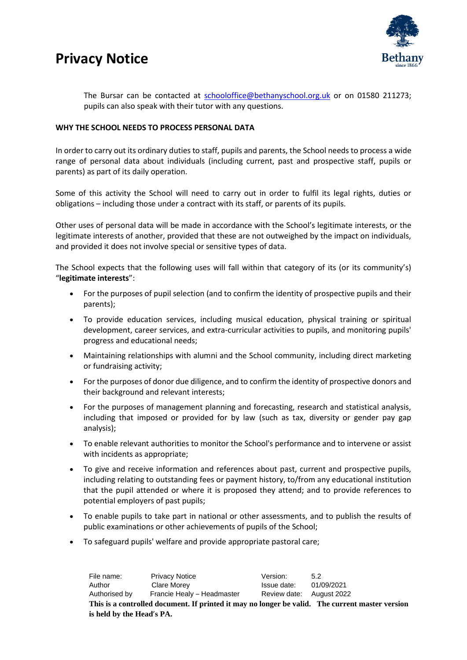

The Bursar can be contacted at [schooloffice@bethanyschool.org.uk](mailto:schooloffice@bethanyschool.org.uk) or on 01580 211273; pupils can also speak with their tutor with any questions.

#### **WHY THE SCHOOL NEEDS TO PROCESS PERSONAL DATA**

In order to carry out its ordinary duties to staff, pupils and parents, the School needs to process a wide range of personal data about individuals (including current, past and prospective staff, pupils or parents) as part of its daily operation.

Some of this activity the School will need to carry out in order to fulfil its legal rights, duties or obligations – including those under a contract with its staff, or parents of its pupils.

Other uses of personal data will be made in accordance with the School's legitimate interests, or the legitimate interests of another, provided that these are not outweighed by the impact on individuals, and provided it does not involve special or sensitive types of data.

The School expects that the following uses will fall within that category of its (or its community's) "**legitimate interests**":

- For the purposes of pupil selection (and to confirm the identity of prospective pupils and their parents);
- To provide education services, including musical education, physical training or spiritual development, career services, and extra-curricular activities to pupils, and monitoring pupils' progress and educational needs;
- Maintaining relationships with alumni and the School community, including direct marketing or fundraising activity;
- For the purposes of donor due diligence, and to confirm the identity of prospective donors and their background and relevant interests;
- For the purposes of management planning and forecasting, research and statistical analysis, including that imposed or provided for by law (such as tax, diversity or gender pay gap analysis);
- To enable relevant authorities to monitor the School's performance and to intervene or assist with incidents as appropriate;
- To give and receive information and references about past, current and prospective pupils, including relating to outstanding fees or payment history, to/from any educational institution that the pupil attended or where it is proposed they attend; and to provide references to potential employers of past pupils;
- To enable pupils to take part in national or other assessments, and to publish the results of public examinations or other achievements of pupils of the School;
- To safeguard pupils' welfare and provide appropriate pastoral care;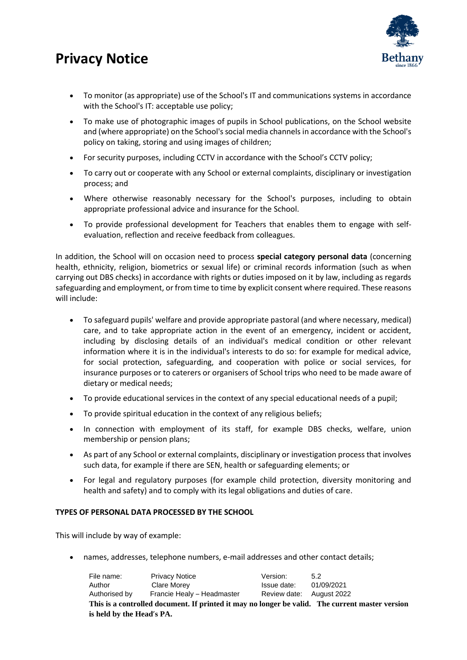

- To monitor (as appropriate) use of the School's IT and communications systems in accordance with the School's IT: acceptable use policy;
- To make use of photographic images of pupils in School publications, on the School website and (where appropriate) on the School's social media channels in accordance with the School's policy on taking, storing and using images of children;
- For security purposes, including CCTV in accordance with the School's CCTV policy;
- To carry out or cooperate with any School or external complaints, disciplinary or investigation process; and
- Where otherwise reasonably necessary for the School's purposes, including to obtain appropriate professional advice and insurance for the School.
- To provide professional development for Teachers that enables them to engage with selfevaluation, reflection and receive feedback from colleagues.

In addition, the School will on occasion need to process **special category personal data** (concerning health, ethnicity, religion, biometrics or sexual life) or criminal records information (such as when carrying out DBS checks) in accordance with rights or duties imposed on it by law, including as regards safeguarding and employment, or from time to time by explicit consent where required. These reasons will include:

- To safeguard pupils' welfare and provide appropriate pastoral (and where necessary, medical) care, and to take appropriate action in the event of an emergency, incident or accident, including by disclosing details of an individual's medical condition or other relevant information where it is in the individual's interests to do so: for example for medical advice, for social protection, safeguarding, and cooperation with police or social services, for insurance purposes or to caterers or organisers of School trips who need to be made aware of dietary or medical needs;
- To provide educational services in the context of any special educational needs of a pupil;
- To provide spiritual education in the context of any religious beliefs;
- In connection with employment of its staff, for example DBS checks, welfare, union membership or pension plans;
- As part of any School or external complaints, disciplinary or investigation process that involves such data, for example if there are SEN, health or safeguarding elements; or
- For legal and regulatory purposes (for example child protection, diversity monitoring and health and safety) and to comply with its legal obligations and duties of care.

#### **TYPES OF PERSONAL DATA PROCESSED BY THE SCHOOL**

This will include by way of example:

• names, addresses, telephone numbers, e-mail addresses and other contact details;

| File name:                                                                                      | <b>Privacy Notice</b>      | Version:                 | 52         |
|-------------------------------------------------------------------------------------------------|----------------------------|--------------------------|------------|
| Author                                                                                          | Clare Morey                | Issue date:              | 01/09/2021 |
| Authorised by                                                                                   | Francie Healy - Headmaster | Review date: August 2022 |            |
| This is a controlled document. If printed it may no longer be valid. The current master version |                            |                          |            |
| is held by the Head's PA.                                                                       |                            |                          |            |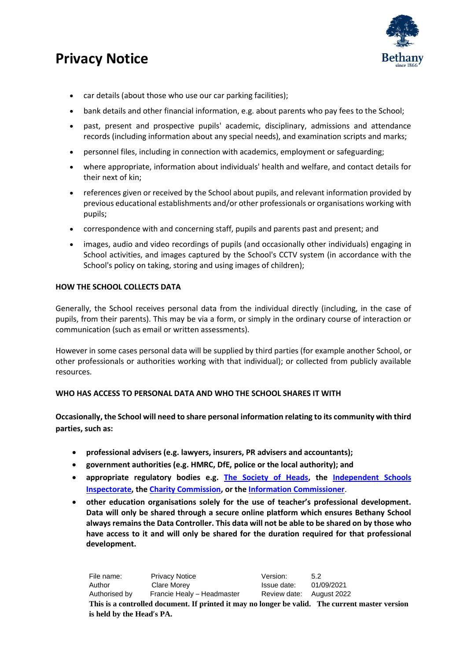

- car details (about those who use our car parking facilities);
- bank details and other financial information, e.g. about parents who pay fees to the School;
- past, present and prospective pupils' academic, disciplinary, admissions and attendance records (including information about any special needs), and examination scripts and marks;
- personnel files, including in connection with academics, employment or safeguarding;
- where appropriate, information about individuals' health and welfare, and contact details for their next of kin;
- references given or received by the School about pupils, and relevant information provided by previous educational establishments and/or other professionals or organisations working with pupils;
- correspondence with and concerning staff, pupils and parents past and present; and
- images, audio and video recordings of pupils (and occasionally other individuals) engaging in School activities, and images captured by the School's CCTV system (in accordance with the School's policy on taking, storing and using images of children);

#### **HOW THE SCHOOL COLLECTS DATA**

Generally, the School receives personal data from the individual directly (including, in the case of pupils, from their parents). This may be via a form, or simply in the ordinary course of interaction or communication (such as email or written assessments).

However in some cases personal data will be supplied by third parties (for example another School, or other professionals or authorities working with that individual); or collected from publicly available resources.

#### **WHO HAS ACCESS TO PERSONAL DATA AND WHO THE SCHOOL SHARES IT WITH**

**Occasionally, the School will need to share personal information relating to its community with third parties, such as:**

- **professional advisers (e.g. lawyers, insurers, PR advisers and accountants);**
- **government authorities (e.g. HMRC, DfE, police or the local authority); and**
- **appropriate regulatory bodies e.g. [The Society of Heads,](https://www.thesocietyofheads.org.uk/) the [Independent Schools](https://www.isi.net/)  [Inspectorate,](https://www.isi.net/) th[e Charity Commission,](https://www.gov.uk/government/organisations/charity-commission) or the [Information Commissioner](https://ico.org.uk/)**.
- **other education organisations solely for the use of teacher's professional development. Data will only be shared through a secure online platform which ensures Bethany School always remains the Data Controller. This data will not be able to be shared on by those who have access to it and will only be shared for the duration required for that professional development.**

| File name:                                                                                      | <b>Privacy Notice</b>      | Version:                 | 5.2        |
|-------------------------------------------------------------------------------------------------|----------------------------|--------------------------|------------|
| Author                                                                                          | Clare Morev                | Issue date:              | 01/09/2021 |
| Authorised by                                                                                   | Francie Healy - Headmaster | Review date: August 2022 |            |
| This is a controlled document. If printed it may no longer be valid. The current master version |                            |                          |            |
| is held by the Head's PA.                                                                       |                            |                          |            |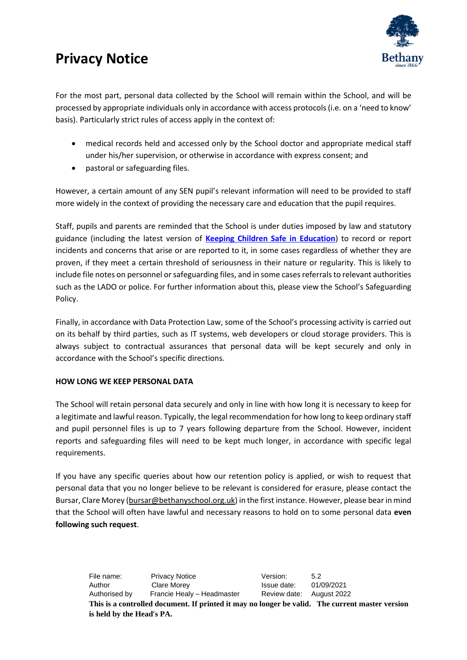

For the most part, personal data collected by the School will remain within the School, and will be processed by appropriate individuals only in accordance with access protocols (i.e. on a 'need to know' basis). Particularly strict rules of access apply in the context of:

- medical records held and accessed only by the School doctor and appropriate medical staff under his/her supervision, or otherwise in accordance with express consent; and
- pastoral or safeguarding files.

However, a certain amount of any SEN pupil's relevant information will need to be provided to staff more widely in the context of providing the necessary care and education that the pupil requires.

Staff, pupils and parents are reminded that the School is under duties imposed by law and statutory guidance (including the latest version of **Keeping Children Safe in Education**) to record or report incidents and concerns that arise or are reported to it, in some cases regardless of whether they are proven, if they meet a certain threshold of seriousness in their nature or regularity. This is likely to include file notes on personnel or safeguarding files, and in some cases referrals to relevant authorities such as the LADO or police. For further information about this, please view the School's Safeguarding Policy.

Finally, in accordance with Data Protection Law, some of the School's processing activity is carried out on its behalf by third parties, such as IT systems, web developers or cloud storage providers. This is always subject to contractual assurances that personal data will be kept securely and only in accordance with the School's specific directions.

#### **HOW LONG WE KEEP PERSONAL DATA**

The School will retain personal data securely and only in line with how long it is necessary to keep for a legitimate and lawful reason. Typically, the legal recommendation for how long to keep ordinary staff and pupil personnel files is up to 7 years following departure from the School. However, incident reports and safeguarding files will need to be kept much longer, in accordance with specific legal requirements.

If you have any specific queries about how our retention policy is applied, or wish to request that personal data that you no longer believe to be relevant is considered for erasure, please contact the Bursar, Clare Morey [\(bursar@bethanyschool.org.uk\)](mailto:bursar@bethanyschool.org.uk) in the first instance. However, please bear in mind that the School will often have lawful and necessary reasons to hold on to some personal data **even following such request**.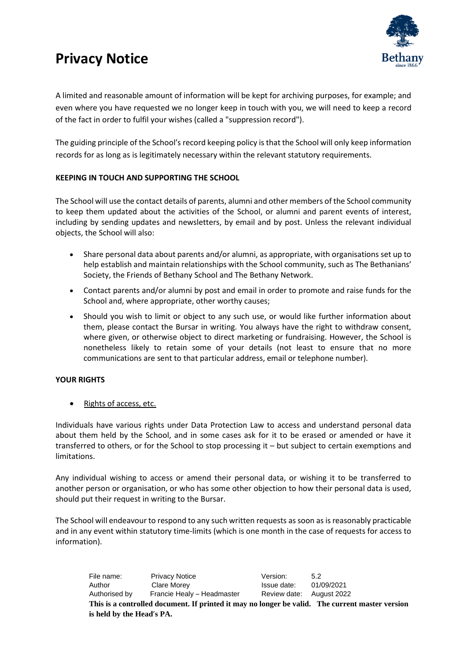

A limited and reasonable amount of information will be kept for archiving purposes, for example; and even where you have requested we no longer keep in touch with you, we will need to keep a record of the fact in order to fulfil your wishes (called a "suppression record").

The guiding principle of the School's record keeping policy is that the School will only keep information records for as long as is legitimately necessary within the relevant statutory requirements.

#### **KEEPING IN TOUCH AND SUPPORTING THE SCHOOL**

The School will use the contact details of parents, alumni and other members of the School community to keep them updated about the activities of the School, or alumni and parent events of interest, including by sending updates and newsletters, by email and by post. Unless the relevant individual objects, the School will also:

- Share personal data about parents and/or alumni, as appropriate, with organisations set up to help establish and maintain relationships with the School community, such as The Bethanians' Society, the Friends of Bethany School and The Bethany Network.
- Contact parents and/or alumni by post and email in order to promote and raise funds for the School and, where appropriate, other worthy causes;
- Should you wish to limit or object to any such use, or would like further information about them, please contact the Bursar in writing. You always have the right to withdraw consent, where given, or otherwise object to direct marketing or fundraising. However, the School is nonetheless likely to retain some of your details (not least to ensure that no more communications are sent to that particular address, email or telephone number).

#### **YOUR RIGHTS**

Rights of access, etc.

Individuals have various rights under Data Protection Law to access and understand personal data about them held by the School, and in some cases ask for it to be erased or amended or have it transferred to others, or for the School to stop processing it – but subject to certain exemptions and limitations.

Any individual wishing to access or amend their personal data, or wishing it to be transferred to another person or organisation, or who has some other objection to how their personal data is used, should put their request in writing to the Bursar.

The School will endeavour to respond to any such written requests as soon as is reasonably practicable and in any event within statutory time-limits (which is one month in the case of requests for access to information).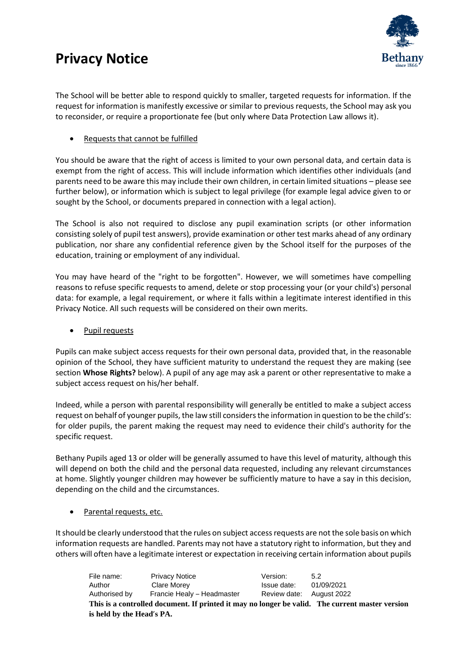

The School will be better able to respond quickly to smaller, targeted requests for information. If the request for information is manifestly excessive or similar to previous requests, the School may ask you to reconsider, or require a proportionate fee (but only where Data Protection Law allows it).

Requests that cannot be fulfilled

You should be aware that the right of access is limited to your own personal data, and certain data is exempt from the right of access. This will include information which identifies other individuals (and parents need to be aware this may include their own children, in certain limited situations – please see further below), or information which is subject to legal privilege (for example legal advice given to or sought by the School, or documents prepared in connection with a legal action).

The School is also not required to disclose any pupil examination scripts (or other information consisting solely of pupil test answers), provide examination or other test marks ahead of any ordinary publication, nor share any confidential reference given by the School itself for the purposes of the education, training or employment of any individual.

You may have heard of the "right to be forgotten". However, we will sometimes have compelling reasons to refuse specific requests to amend, delete or stop processing your (or your child's) personal data: for example, a legal requirement, or where it falls within a legitimate interest identified in this Privacy Notice. All such requests will be considered on their own merits.

Pupil requests

Pupils can make subject access requests for their own personal data, provided that, in the reasonable opinion of the School, they have sufficient maturity to understand the request they are making (see section **Whose Rights?** below). A pupil of any age may ask a parent or other representative to make a subject access request on his/her behalf.

Indeed, while a person with parental responsibility will generally be entitled to make a subject access request on behalf of younger pupils, the law still considers the information in question to be the child's: for older pupils, the parent making the request may need to evidence their child's authority for the specific request.

Bethany Pupils aged 13 or older will be generally assumed to have this level of maturity, although this will depend on both the child and the personal data requested, including any relevant circumstances at home. Slightly younger children may however be sufficiently mature to have a say in this decision, depending on the child and the circumstances.

Parental requests, etc.

It should be clearly understood that the rules on subject accessrequests are not the sole basis on which information requests are handled. Parents may not have a statutory right to information, but they and others will often have a legitimate interest or expectation in receiving certain information about pupils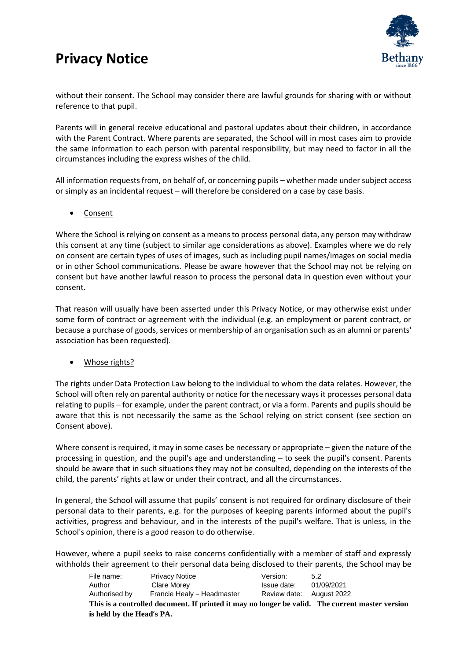

without their consent. The School may consider there are lawful grounds for sharing with or without reference to that pupil.

Parents will in general receive educational and pastoral updates about their children, in accordance with the Parent Contract. Where parents are separated, the School will in most cases aim to provide the same information to each person with parental responsibility, but may need to factor in all the circumstances including the express wishes of the child.

All information requests from, on behalf of, or concerning pupils – whether made under subject access or simply as an incidental request – will therefore be considered on a case by case basis.

• Consent

Where the School is relying on consent as a means to process personal data, any person may withdraw this consent at any time (subject to similar age considerations as above). Examples where we do rely on consent are certain types of uses of images, such as including pupil names/images on social media or in other School communications. Please be aware however that the School may not be relying on consent but have another lawful reason to process the personal data in question even without your consent.

That reason will usually have been asserted under this Privacy Notice, or may otherwise exist under some form of contract or agreement with the individual (e.g. an employment or parent contract, or because a purchase of goods, services or membership of an organisation such as an alumni or parents' association has been requested).

• Whose rights?

The rights under Data Protection Law belong to the individual to whom the data relates. However, the School will often rely on parental authority or notice for the necessary ways it processes personal data relating to pupils – for example, under the parent contract, or via a form. Parents and pupils should be aware that this is not necessarily the same as the School relying on strict consent (see section on Consent above).

Where consent is required, it may in some cases be necessary or appropriate – given the nature of the processing in question, and the pupil's age and understanding – to seek the pupil's consent. Parents should be aware that in such situations they may not be consulted, depending on the interests of the child, the parents' rights at law or under their contract, and all the circumstances.

In general, the School will assume that pupils' consent is not required for ordinary disclosure of their personal data to their parents, e.g. for the purposes of keeping parents informed about the pupil's activities, progress and behaviour, and in the interests of the pupil's welfare. That is unless, in the School's opinion, there is a good reason to do otherwise.

However, where a pupil seeks to raise concerns confidentially with a member of staff and expressly withholds their agreement to their personal data being disclosed to their parents, the School may be

| File name:                | <b>Privacy Notice</b>                                                                           | Version:                 | 5.2        |
|---------------------------|-------------------------------------------------------------------------------------------------|--------------------------|------------|
| Author                    | Clare Morey                                                                                     | Issue date:              | 01/09/2021 |
| Authorised by             | Francie Healy - Headmaster                                                                      | Review date: August 2022 |            |
|                           | This is a controlled document. If printed it may no longer be valid. The current master version |                          |            |
| is held by the Head's PA. |                                                                                                 |                          |            |